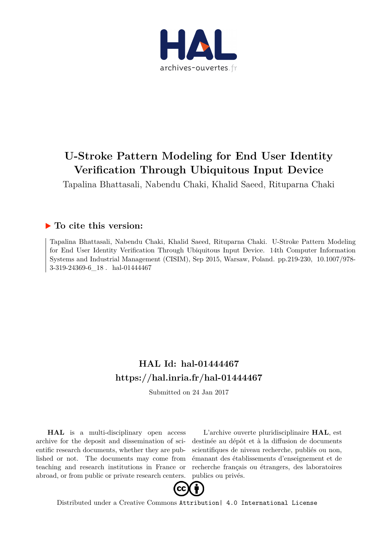

# **U-Stroke Pattern Modeling for End User Identity Verification Through Ubiquitous Input Device**

Tapalina Bhattasali, Nabendu Chaki, Khalid Saeed, Rituparna Chaki

## **To cite this version:**

Tapalina Bhattasali, Nabendu Chaki, Khalid Saeed, Rituparna Chaki. U-Stroke Pattern Modeling for End User Identity Verification Through Ubiquitous Input Device. 14th Computer Information Systems and Industrial Management (CISIM), Sep 2015, Warsaw, Poland. pp.219-230, 10.1007/978-3-319-24369-6 18. hal-01444467

# **HAL Id: hal-01444467 <https://hal.inria.fr/hal-01444467>**

Submitted on 24 Jan 2017

**HAL** is a multi-disciplinary open access archive for the deposit and dissemination of scientific research documents, whether they are published or not. The documents may come from teaching and research institutions in France or abroad, or from public or private research centers.

L'archive ouverte pluridisciplinaire **HAL**, est destinée au dépôt et à la diffusion de documents scientifiques de niveau recherche, publiés ou non, émanant des établissements d'enseignement et de recherche français ou étrangers, des laboratoires publics ou privés.



Distributed under a Creative Commons [Attribution| 4.0 International License](http://creativecommons.org/licenses/by/4.0/)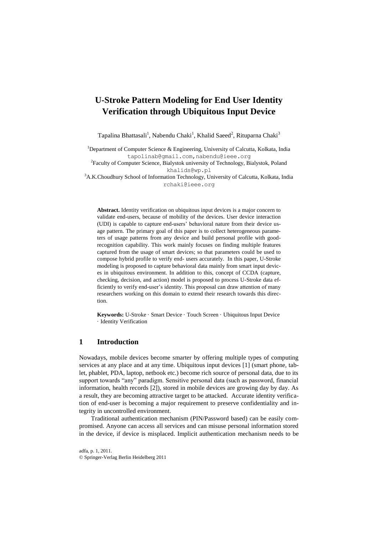## **U-Stroke Pattern Modeling for End User Identity Verification through Ubiquitous Input Device**

Tapalina Bhattasali<sup>1</sup>, Nabendu Chaki<sup>1</sup>, Khalid Saeed<sup>2</sup>, Rituparna Chaki<sup>3</sup>

<sup>1</sup>Department of Computer Science & Engineering, University of Calcutta, Kolkata, India tapolinab@gmail.com,nabendu@ieee.org

<sup>2</sup> Faculty of Computer Science, Bialystok university of Technology, Bialystok, Poland khalids@wp.pl

<sup>3</sup>A.K.Choudhury School of Information Technology, University of Calcutta, Kolkata, India [rchaki@ieee.org](mailto:rchaki@ieee.org)

**Abstract.** Identity verification on ubiquitous input devices is a major concern to validate end-users, because of mobility of the devices. User device interaction (UDI) is capable to capture end-users' behavioral nature from their device usage pattern. The primary goal of this paper is to collect heterogeneous parameters of usage patterns from any device and build personal profile with goodrecognition capability. This work mainly focuses on finding multiple features captured from the usage of smart devices; so that parameters could be used to compose hybrid profile to verify end- users accurately. In this paper, U-Stroke modeling is proposed to capture behavioral data mainly from smart input devices in ubiquitous environment. In addition to this, concept of CCDA (capture, checking, decision, and action) model is proposed to process U-Stroke data efficiently to verify end-user's identity. This proposal can draw attention of many researchers working on this domain to extend their research towards this direction.

**Keywords:** U-Stroke · Smart Device · Touch Screen · Ubiquitous Input Device · Identity Verification

### **1 Introduction**

Nowadays, mobile devices become smarter by offering multiple types of computing services at any place and at any time. Ubiquitous input devices [1] (smart phone, tablet, phablet, PDA, laptop, netbook etc.) become rich source of personal data, due to its support towards "any" paradigm. Sensitive personal data (such as password, financial information, health records [2]), stored in mobile devices are growing day by day. As a result, they are becoming attractive target to be attacked. Accurate identity verification of end-user is becoming a major requirement to preserve confidentiality and integrity in uncontrolled environment.

 Traditional authentication mechanism (PIN/Password based) can be easily compromised. Anyone can access all services and can misuse personal information stored in the device, if device is misplaced. Implicit authentication mechanism needs to be

adfa, p. 1, 2011. © Springer-Verlag Berlin Heidelberg 2011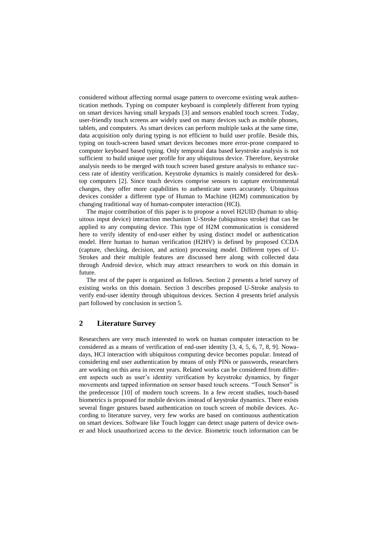considered without affecting normal usage pattern to overcome existing weak authentication methods. Typing on computer keyboard is completely different from typing on smart devices having small keypads [3] and sensors enabled touch screen. Today, user-friendly touch screens are widely used on many devices such as mobile phones, tablets, and computers. As smart devices can perform multiple tasks at the same time, data acquisition only during typing is not efficient to build user profile. Beside this, typing on touch-screen based smart devices becomes more error-prone compared to computer keyboard based typing. Only temporal data based keystroke analysis is not sufficient to build unique user profile for any ubiquitous device. Therefore, keystroke analysis needs to be merged with touch screen based gesture analysis to enhance success rate of identity verification. Keystroke dynamics is mainly considered for desktop computers [2]. Since touch devices comprise sensors to capture environmental changes, they offer more capabilities to authenticate users accurately. Ubiquitous devices consider a different type of Human to Machine (H2M) communication by changing traditional way of human-computer interaction (HCI).

The major contribution of this paper is to propose a novel H2UID (human to ubiquitous input device) interaction mechanism U-Stroke (ubiquitous stroke) that can be applied to any computing device. This type of H2M communication is considered here to verify identity of end-user either by using distinct model or authentication model. Here human to human verification (H2HV) is defined by proposed CCDA (capture, checking, decision, and action) processing model. Different types of U-Strokes and their multiple features are discussed here along with collected data through Android device, which may attract researchers to work on this domain in future.

The rest of the paper is organized as follows. Section 2 presents a brief survey of existing works on this domain. Section 3 describes proposed U-Stroke analysis to verify end-user identity through ubiquitous devices. Section 4 presents brief analysis part followed by conclusion in section 5.

## **2 Literature Survey**

Researchers are very much interested to work on human computer interaction to be considered as a means of verification of end-user identity [3, 4, 5, 6, 7, 8, 9]. Nowadays, HCI interaction with ubiquitous computing device becomes popular. Instead of considering end user authentication by means of only PINs or passwords, researchers are working on this area in recent years. Related works can be considered from different aspects such as user's identity verification by keystroke dynamics, by finger movements and tapped information on sensor based touch screens. "Touch Sensor" is the predecessor [10] of modern touch screens. In a few recent studies, touch-based biometrics is proposed for mobile devices instead of keystroke dynamics. There exists several finger gestures based authentication on touch screen of mobile devices. According to literature survey, very few works are based on continuous authentication on smart devices. Software like Touch logger can detect usage pattern of device owner and block unauthorized access to the device. Biometric touch information can be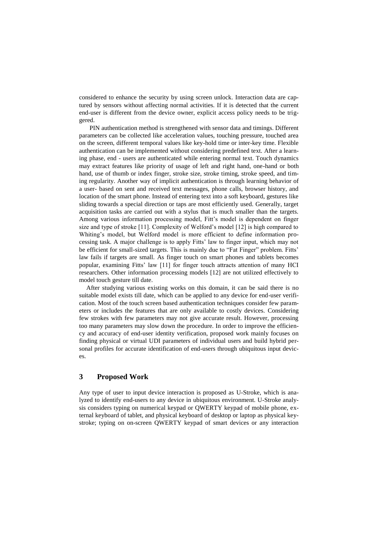considered to enhance the security by using screen unlock. Interaction data are captured by sensors without affecting normal activities. If it is detected that the current end-user is different from the device owner, explicit access policy needs to be triggered.

PIN authentication method is strengthened with sensor data and timings. Different parameters can be collected like acceleration values, touching pressure, touched area on the screen, different temporal values like key-hold time or inter-key time. Flexible authentication can be implemented without considering predefined text. After a learning phase, end - users are authenticated while entering normal text. Touch dynamics may extract features like priority of usage of left and right hand, one-hand or both hand, use of thumb or index finger, stroke size, stroke timing, stroke speed, and timing regularity. Another way of implicit authentication is through learning behavior of a user- based on sent and received text messages, phone calls, browser history, and location of the smart phone. Instead of entering text into a soft keyboard, gestures like sliding towards a special direction or taps are most efficiently used. Generally, target acquisition tasks are carried out with a stylus that is much smaller than the targets. Among various information processing model, Fitt's model is dependent on finger size and type of stroke [11]. Complexity of Welford's model [12] is high compared to Whiting's model, but Welford model is more efficient to define information processing task. A major challenge is to apply Fitts' law to finger input, which may not be efficient for small-sized targets. This is mainly due to "Fat Finger" problem. Fitts' law fails if targets are small. As finger touch on smart phones and tablets becomes popular, examining Fitts' law [11] for finger touch attracts attention of many HCI researchers. Other information processing models [12] are not utilized effectively to model touch gesture till date.

After studying various existing works on this domain, it can be said there is no suitable model exists till date, which can be applied to any device for end-user verification. Most of the touch screen based authentication techniques consider few parameters or includes the features that are only available to costly devices. Considering few strokes with few parameters may not give accurate result. However, processing too many parameters may slow down the procedure. In order to improve the efficiency and accuracy of end-user identity verification, proposed work mainly focuses on finding physical or virtual UDI parameters of individual users and build hybrid personal profiles for accurate identification of end-users through ubiquitous input devices.

## **3 Proposed Work**

Any type of user to input device interaction is proposed as U-Stroke, which is analyzed to identify end-users to any device in ubiquitous environment. U-Stroke analysis considers typing on numerical keypad or QWERTY keypad of mobile phone, external keyboard of tablet, and physical keyboard of desktop or laptop as physical keystroke; typing on on-screen QWERTY keypad of smart devices or any interaction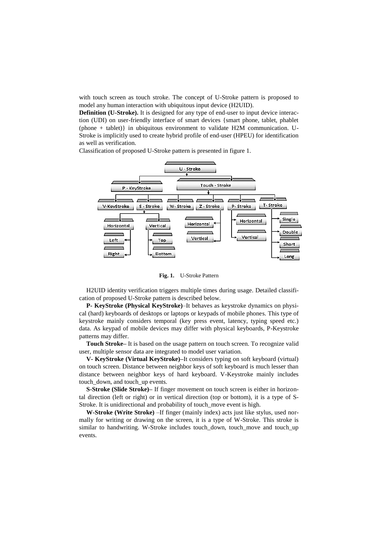with touch screen as touch stroke. The concept of U-Stroke pattern is proposed to model any human interaction with ubiquitous input device (H2UID).

**Definition (U-Stroke).** It is designed for any type of end-user to input device interaction (UDI) on user-friendly interface of smart devices {smart phone, tablet, phablet (phone + tablet)} in ubiquitous environment to validate H2M communication. U-Stroke is implicitly used to create hybrid profile of end-user (HPEU) for identification as well as verification.

Classification of proposed U-Stroke pattern is presented in figure 1.



**Fig. 1.** U-Stroke Pattern

H2UID identity verification triggers multiple times during usage. Detailed classification of proposed U-Stroke pattern is described below.

**P- KeyStroke (Physical KeyStroke)**–It behaves as keystroke dynamics on physical (hard) keyboards of desktops or laptops or keypads of mobile phones. This type of keystroke mainly considers temporal (key press event, latency, typing speed etc.) data. As keypad of mobile devices may differ with physical keyboards, P-Keystroke patterns may differ.

**Touch Stroke–** It is based on the usage pattern on touch screen. To recognize valid user, multiple sensor data are integrated to model user variation.

**V- KeyStroke (Virtual KeyStroke)–**It considers typing on soft keyboard (virtual) on touch screen. Distance between neighbor keys of soft keyboard is much lesser than distance between neighbor keys of hard keyboard. V-Keystroke mainly includes touch\_down, and touch\_up events.

**S-Stroke (Slide Stroke)–** If finger movement on touch screen is either in horizontal direction (left or right) or in vertical direction (top or bottom), it is a type of S-Stroke. It is unidirectional and probability of touch\_move event is high.

**W-Stroke (Write Stroke)** –If finger (mainly index) acts just like stylus, used normally for writing or drawing on the screen, it is a type of W-Stroke. This stroke is similar to handwriting. W-Stroke includes touch\_down, touch\_move and touch\_up events.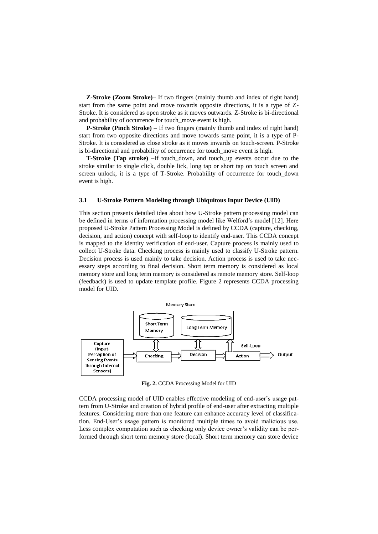**Z-Stroke (Zoom Stroke)**– If two fingers (mainly thumb and index of right hand) start from the same point and move towards opposite directions, it is a type of Z-Stroke. It is considered as open stroke as it moves outwards. Z-Stroke is bi-directional and probability of occurrence for touch\_move event is high.

**P-Stroke (Pinch Stroke) –** If two fingers (mainly thumb and index of right hand) start from two opposite directions and move towards same point, it is a type of P-Stroke. It is considered as close stroke as it moves inwards on touch-screen. P-Stroke is bi-directional and probability of occurrence for touch\_move event is high.

**T-Stroke (Tap stroke)** –If touch down, and touch up events occur due to the stroke similar to single click, double lick, long tap or short tap on touch screen and screen unlock, it is a type of T-Stroke. Probability of occurrence for touch\_down event is high.

#### **3.1 U-Stroke Pattern Modeling through Ubiquitous Input Device (UID)**

This section presents detailed idea about how U-Stroke pattern processing model can be defined in terms of information processing model like Welford's model [12]. Here proposed U-Stroke Pattern Processing Model is defined by CCDA (capture, checking, decision, and action) concept with self-loop to identify end-user. This CCDA concept is mapped to the identity verification of end-user. Capture process is mainly used to collect U-Stroke data. Checking process is mainly used to classify U-Stroke pattern. Decision process is used mainly to take decision. Action process is used to take necessary steps according to final decision. Short term memory is considered as local memory store and long term memory is considered as remote memory store. Self-loop (feedback) is used to update template profile. Figure 2 represents CCDA processing model for UID.



**Fig. 2.** CCDA Processing Model for UID

CCDA processing model of UID enables effective modeling of end-user's usage pattern from U-Stroke and creation of hybrid profile of end-user after extracting multiple features. Considering more than one feature can enhance accuracy level of classification. End-User's usage pattern is monitored multiple times to avoid malicious use. Less complex computation such as checking only device owner's validity can be performed through short term memory store (local). Short term memory can store device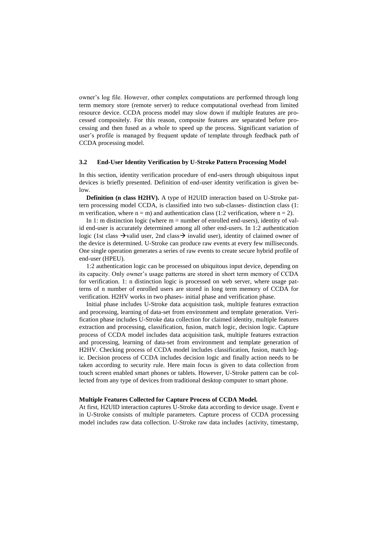owner's log file. However, other complex computations are performed through long term memory store (remote server) to reduce computational overhead from limited resource device. CCDA process model may slow down if multiple features are processed compositely. For this reason, composite features are separated before processing and then fused as a whole to speed up the process. Significant variation of user's profile is managed by frequent update of template through feedback path of CCDA processing model.

#### **3.2 End-User Identity Verification by U-Stroke Pattern Processing Model**

In this section, identity verification procedure of end-users through ubiquitous input devices is briefly presented. Definition of end-user identity verification is given below.

**Definition (n class H2HV).** A type of H2UID interaction based on U-Stroke pattern processing model CCDA, is classified into two sub-classes- distinction class (1: m verification, where  $n = m$ ) and authentication class (1:2 verification, where  $n = 2$ ).

In 1: m distinction logic (where  $m =$  number of enrolled end-users), identity of valid end-user is accurately determined among all other end-users. In 1:2 authentication logic (1st class  $\rightarrow$  valid user, 2nd class  $\rightarrow$  invalid user), identity of claimed owner of the device is determined. U-Stroke can produce raw events at every few milliseconds. One single operation generates a series of raw events to create secure hybrid profile of end-user (HPEU).

1:2 authentication logic can be processed on ubiquitous input device, depending on its capacity. Only owner's usage patterns are stored in short term memory of CCDA for verification. 1: n distinction logic is processed on web server, where usage patterns of n number of enrolled users are stored in long term memory of CCDA for verification. H2HV works in two phases- initial phase and verification phase.

Initial phase includes U-Stroke data acquisition task, multiple features extraction and processing, learning of data-set from environment and template generation. Verification phase includes U-Stroke data collection for claimed identity, multiple features extraction and processing, classification, fusion, match logic, decision logic. Capture process of CCDA model includes data acquisition task, multiple features extraction and processing, learning of data-set from environment and template generation of H2HV. Checking process of CCDA model includes classification, fusion, match logic. Decision process of CCDA includes decision logic and finally action needs to be taken according to security rule. Here main focus is given to data collection from touch screen enabled smart phones or tablets. However, U-Stroke pattern can be collected from any type of devices from traditional desktop computer to smart phone.

#### **Multiple Features Collected for Capture Process of CCDA Model.**

At first, H2UID interaction captures U-Stroke data according to device usage. Event e in U-Stroke consists of multiple parameters. Capture process of CCDA processing model includes raw data collection. U-Stroke raw data includes {activity, timestamp,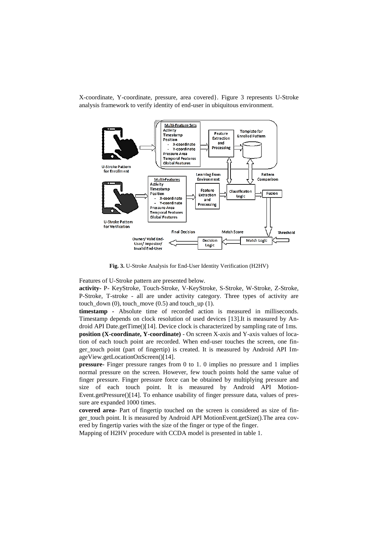X-coordinate, Y-coordinate, pressure, area covered}. Figure 3 represents U-Stroke analysis framework to verify identity of end-user in ubiquitous environment.



**Fig. 3.** U-Stroke Analysis for End-User Identity Verification (H2HV)

Features of U-Stroke pattern are presented below.

**activity-** P- KeyStroke, Touch-Stroke, V-KeyStroke, S-Stroke, W-Stroke, Z-Stroke, P-Stroke, T-stroke - all are under activity category. Three types of activity are touch down (0), touch move  $(0.5)$  and touch up (1).

**timestamp -** Absolute time of recorded action is measured in milliseconds. Timestamp depends on clock resolution of used devices [13].It is measured by Android API Date.getTime()[14]. Device clock is characterized by sampling rate of 1ms. **position (X-coordinate, Y-coordinate)** - On screen X-axis and Y-axis values of location of each touch point are recorded. When end-user touches the screen, one finger\_touch point (part of fingertip) is created. It is measured by Android API ImageView.getLocationOnScreen()[14].

**pressure-** Finger pressure ranges from 0 to 1. 0 implies no pressure and 1 implies normal pressure on the screen. However, few touch points hold the same value of finger pressure. Finger pressure force can be obtained by multiplying pressure and size of each touch point. It is measured by Android API Motion-Event.getPressure()[14]. To enhance usability of finger pressure data, values of pressure are expanded 1000 times.

**covered area-** Part of fingertip touched on the screen is considered as size of finger\_touch point. It is measured by Android API MotionEvent.getSize().The area covered by fingertip varies with the size of the finger or type of the finger.

Mapping of H2HV procedure with CCDA model is presented in table 1.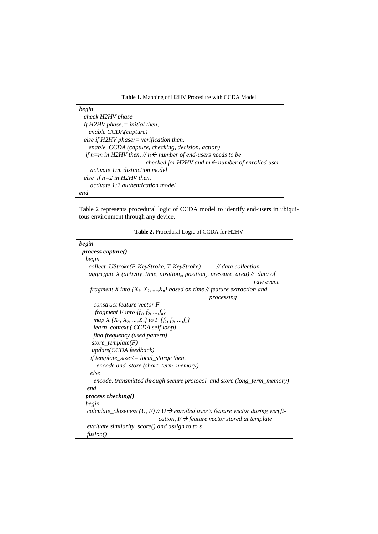**Table 1.** Mapping of H2HV Procedure with CCDA Model

| begin                                                                    |
|--------------------------------------------------------------------------|
| check H2HV phase                                                         |
| if $H2HV$ phase: $=$ initial then,                                       |
| enable CCDA(capture)                                                     |
| else if $H2HV$ phase: $=$ verification then,                             |
| enable CCDA (capture, checking, decision, action)                        |
| if $n=m$ in H2HV then, // $n \leftarrow$ number of end-users needs to be |
| checked for H2HV and $m \leftarrow$ number of enrolled user              |
| <i>activate 1:m distinction model</i>                                    |
| else if $n=2$ in H2HV then,                                              |
| $active 1:2$ authentication model                                        |
| end                                                                      |

Table 2 represents procedural logic of CCDA model to identify end-users in ubiquitous environment through any device.

| begin |                                                                                                                                                          |
|-------|----------------------------------------------------------------------------------------------------------------------------------------------------------|
|       | $process\ capture()$                                                                                                                                     |
|       | begin                                                                                                                                                    |
|       | collect UStroke(P-KeyStroke, T-KeyStroke) // data collection                                                                                             |
|       | aggregate X (activity, time, position <sub>x</sub> , position <sub>y</sub> , pressure, area) // data of<br>raw event                                     |
|       | fragment X into ${X_1, X_2, , X_n}$ based on time // feature extraction and                                                                              |
|       | processing                                                                                                                                               |
|       | construct feature vector F                                                                                                                               |
|       | fragment F into $\{f_1, f_2, , f_n\}$                                                                                                                    |
|       | map $X \{X_1, X_2, , X_n\}$ to $F \{f_1, f_2, , f_n\}$                                                                                                   |
|       | learn_context (CCDA self loop)                                                                                                                           |
|       | find frequency (used pattern)                                                                                                                            |
|       | store_template( $F$ )                                                                                                                                    |
|       | update(CCDA feedback)                                                                                                                                    |
|       | if template_size <= local_storge then,                                                                                                                   |
|       | encode and store (short_term_memory)                                                                                                                     |
|       | else                                                                                                                                                     |
|       | encode, transmitted through secure protocol and store (long_term_memory)                                                                                 |
|       | end                                                                                                                                                      |
|       | process checking()                                                                                                                                       |
|       | begin                                                                                                                                                    |
|       | calculate_closeness (U, F) // U $\rightarrow$ enrolled user's feature vector during veryfi-<br>cation, $F \rightarrow$ feature vector stored at template |
|       | evaluate similarity_score() and assign to to s                                                                                                           |
|       | fusion()                                                                                                                                                 |
|       |                                                                                                                                                          |

 $\overline{\phantom{0}}$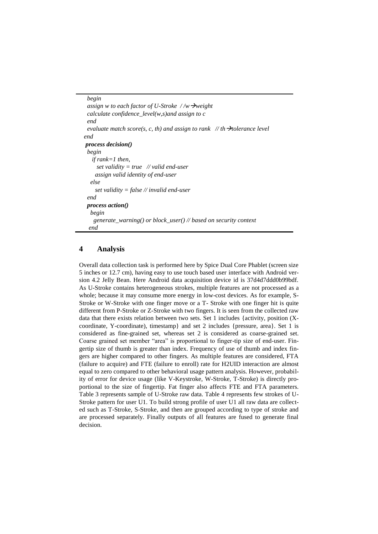```
 begin
assign w to each factor of U-Stroke //w\rightarrowweight
 calculate confidence_level(w,s)and assign to c
 end
evaluate match score(s, c, th) and assign to rank \frac{1}{t} th\frac{1}{t}dolerance level
end
process decision()
 begin
   if rank=1 then,
     set validity = true // valid end-user
    assign valid identity of end-user
  else
    set validity = false // invalid end-user
 end
process action()
  begin
   generate_warning() or block_user() // based on security context
 end
```
## **4 Analysis**

Overall data collection task is performed here by Spice Dual Core Phablet (screen size 5 inches or 12.7 cm), having easy to use touch based user interface with Android version 4.2 Jelly Bean. Here Android data acquisition device id is 37d4d7ddd0b99bdf. As U-Stroke contains heterogeneous strokes, multiple features are not processed as a whole; because it may consume more energy in low-cost devices. As for example, S-Stroke or W-Stroke with one finger move or a T- Stroke with one finger hit is quite different from P-Stroke or Z-Stroke with two fingers. It is seen from the collected raw data that there exists relation between two sets. Set 1 includes {activity, position (Xcoordinate, Y-coordinate), timestamp} and set 2 includes {pressure, area}. Set 1 is considered as fine-grained set, whereas set 2 is considered as coarse-grained set. Coarse grained set member "area" is proportional to finger-tip size of end-user. Fingertip size of thumb is greater than index. Frequency of use of thumb and index fingers are higher compared to other fingers. As multiple features are considered, FTA (failure to acquire) and FTE (failure to enroll) rate for H2UID interaction are almost equal to zero compared to other behavioral usage pattern analysis. However, probability of error for device usage (like V-Keystroke, W-Stroke, T-Stroke) is directly proportional to the size of fingertip. Fat finger also affects FTE and FTA parameters. Table 3 represents sample of U-Stroke raw data. Table 4 represents few strokes of U-Stroke pattern for user U1. To build strong profile of user U1 all raw data are collected such as T-Stroke, S-Stroke, and then are grouped according to type of stroke and are processed separately. Finally outputs of all features are fused to generate final decision.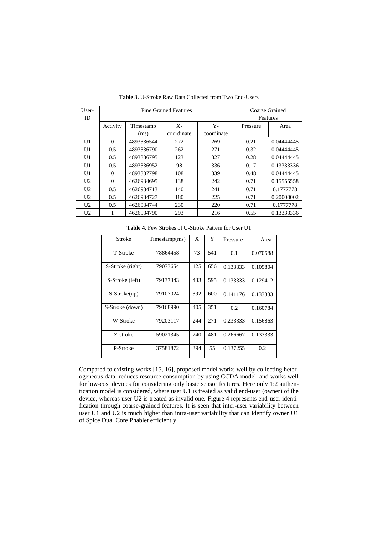| User-<br>ID    |          | <b>Fine Grained Features</b> | Coarse Grained<br>Features |                  |          |            |
|----------------|----------|------------------------------|----------------------------|------------------|----------|------------|
|                | Activity | Timestamp<br>(ms)            | $X -$<br>coordinate        | Y-<br>coordinate | Pressure | Area       |
| U1             | $\Omega$ | 4893336544                   | 272                        | 269              | 0.21     | 0.04444445 |
| U1             | 0.5      | 4893336790                   | 262                        | 271              | 0.32     | 0.04444445 |
| U1             | 0.5      | 4893336795                   | 123                        | 327              | 0.28     | 0.04444445 |
| U1             | 0.5      | 4893336952                   | 98                         | 336              | 0.17     | 0.13333336 |
| U1             | $\Omega$ | 4893337798                   | 108                        | 339              | 0.48     | 0.04444445 |
| U <sub>2</sub> | $\Omega$ | 4626934695                   | 138                        | 242              | 0.71     | 0.15555558 |
| U <sub>2</sub> | 0.5      | 4626934713                   | 140                        | 241              | 0.71     | 0.1777778  |
| U <sub>2</sub> | 0.5      | 4626934727                   | 180                        | 225              | 0.71     | 0.20000002 |
| U2             | 0.5      | 4626934744                   | 230                        | 220              | 0.71     | 0.1777778  |
| U <sub>2</sub> |          | 4626934790                   | 293                        | 216              | 0.55     | 0.13333336 |

**Table 3.** U-Stroke Raw Data Collected from Two End-Users

| Stroke           | Timestamp(ms) | X   | Y   | Pressure | Area     |
|------------------|---------------|-----|-----|----------|----------|
| T-Stroke         | 78864458      | 73  | 541 | 0.1      | 0.070588 |
| S-Stroke (right) | 79073654      | 125 | 656 | 0.133333 | 0.109804 |
| S-Stroke (left)  | 79137343      | 433 | 595 | 0.133333 | 0.129412 |
| $S-Stroke(up)$   | 79107024      | 392 | 600 | 0.141176 | 0.133333 |
| S-Stroke (down)  | 79168990      | 405 | 351 | 0.2      | 0.160784 |
| W-Stroke         | 79203117      | 244 | 271 | 0.233333 | 0.156863 |
| Z-stroke         | 59021345      | 240 | 481 | 0.266667 | 0.133333 |
| P-Stroke         | 37581872      | 394 | 55  | 0.137255 | 0.2      |

**Table 4.** Few Strokes of U-Stroke Pattern for User U1

Compared to existing works [15, 16], proposed model works well by collecting heterogeneous data, reduces resource consumption by using CCDA model, and works well for low-cost devices for considering only basic sensor features. Here only 1:2 authentication model is considered, where user U1 is treated as valid end-user (owner) of the device, whereas user U2 is treated as invalid one. Figure 4 represents end-user identification through coarse-grained features. It is seen that inter-user variability between user U1 and U2 is much higher than intra-user variability that can identify owner U1 of Spice Dual Core Phablet efficiently.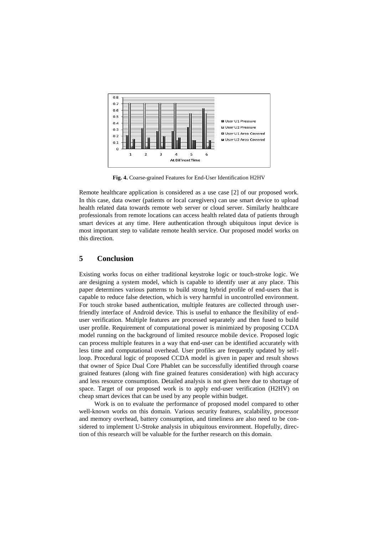

**Fig. 4.** Coarse-grained Features for End-User Identification H2HV

Remote healthcare application is considered as a use case [2] of our proposed work. In this case, data owner (patients or local caregivers) can use smart device to upload health related data towards remote web server or cloud server. Similarly healthcare professionals from remote locations can access health related data of patients through smart devices at any time. Here authentication through ubiquitous input device is most important step to validate remote health service. Our proposed model works on this direction.

## **5 Conclusion**

Existing works focus on either traditional keystroke logic or touch-stroke logic. We are designing a system model, which is capable to identify user at any place. This paper determines various patterns to build strong hybrid profile of end-users that is capable to reduce false detection, which is very harmful in uncontrolled environment. For touch stroke based authentication, multiple features are collected through userfriendly interface of Android device. This is useful to enhance the flexibility of enduser verification. Multiple features are processed separately and then fused to build user profile. Requirement of computational power is minimized by proposing CCDA model running on the background of limited resource mobile device. Proposed logic can process multiple features in a way that end-user can be identified accurately with less time and computational overhead. User profiles are frequently updated by selfloop. Procedural logic of proposed CCDA model is given in paper and result shows that owner of Spice Dual Core Phablet can be successfully identified through coarse grained features (along with fine grained features consideration) with high accuracy and less resource consumption. Detailed analysis is not given here due to shortage of space. Target of our proposed work is to apply end-user verification (H2HV) on cheap smart devices that can be used by any people within budget.

 Work is on to evaluate the performance of proposed model compared to other well-known works on this domain. Various security features, scalability, processor and memory overhead, battery consumption, and timeliness are also need to be considered to implement U-Stroke analysis in ubiquitous environment. Hopefully, direction of this research will be valuable for the further research on this domain.